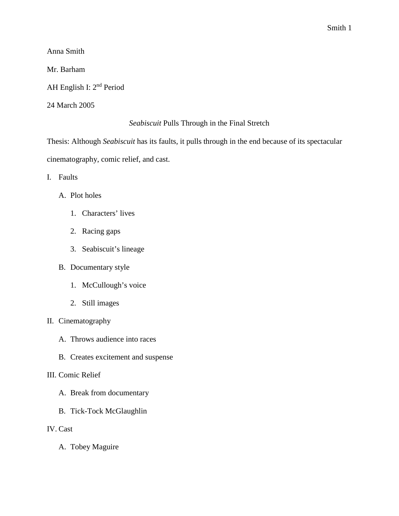Anna Smith

Mr. Barham

AH English I: 2nd Period

24 March 2005

## *Seabiscuit* Pulls Through in the Final Stretch

Thesis: Although *Seabiscuit* has its faults, it pulls through in the end because of its spectacular cinematography, comic relief, and cast.

- I. Faults
	- A. Plot holes
		- 1. Characters' lives
		- 2. Racing gaps
		- 3. Seabiscuit's lineage
	- B. Documentary style
		- 1. McCullough's voice
		- 2. Still images
- II. Cinematography
	- A. Throws audience into races
	- B. Creates excitement and suspense
- III. Comic Relief
	- A. Break from documentary
	- B. Tick-Tock McGlaughlin
- IV. Cast
	- A. Tobey Maguire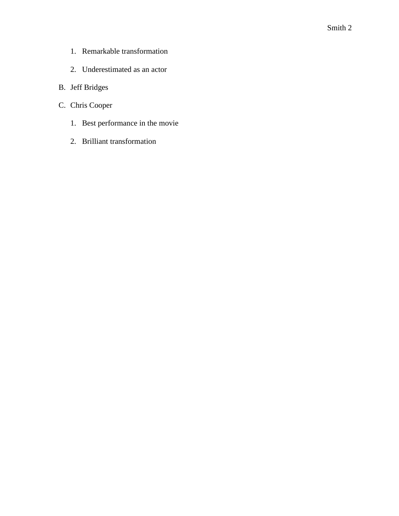- 1. Remarkable transformation
- 2. Underestimated as an actor
- B. Jeff Bridges
- C. Chris Cooper
	- 1. Best performance in the movie
	- 2. Brilliant transformation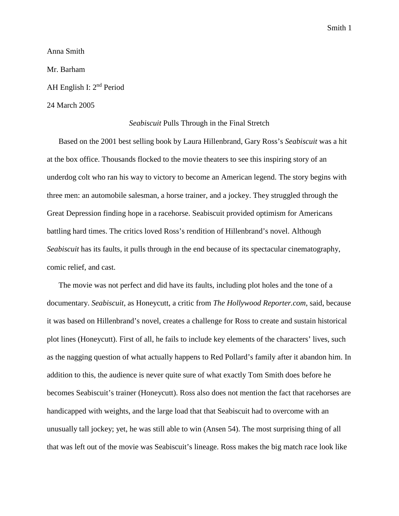Smith 1

Anna Smith

Mr. Barham

AH English I: 2nd Period

## 24 March 2005

## *Seabiscuit* Pulls Through in the Final Stretch

Based on the 2001 best selling book by Laura Hillenbrand, Gary Ross's *Seabiscuit* was a hit at the box office. Thousands flocked to the movie theaters to see this inspiring story of an underdog colt who ran his way to victory to become an American legend. The story begins with three men: an automobile salesman, a horse trainer, and a jockey. They struggled through the Great Depression finding hope in a racehorse. Seabiscuit provided optimism for Americans battling hard times. The critics loved Ross's rendition of Hillenbrand's novel. Although *Seabiscuit* has its faults, it pulls through in the end because of its spectacular cinematography, comic relief, and cast.

The movie was not perfect and did have its faults, including plot holes and the tone of a documentary. *Seabiscuit*, as Honeycutt, a critic from *The Hollywood Reporter.com*, said, because it was based on Hillenbrand's novel, creates a challenge for Ross to create and sustain historical plot lines (Honeycutt). First of all, he fails to include key elements of the characters' lives, such as the nagging question of what actually happens to Red Pollard's family after it abandon him. In addition to this, the audience is never quite sure of what exactly Tom Smith does before he becomes Seabiscuit's trainer (Honeycutt). Ross also does not mention the fact that racehorses are handicapped with weights, and the large load that that Seabiscuit had to overcome with an unusually tall jockey; yet, he was still able to win (Ansen 54). The most surprising thing of all that was left out of the movie was Seabiscuit's lineage. Ross makes the big match race look like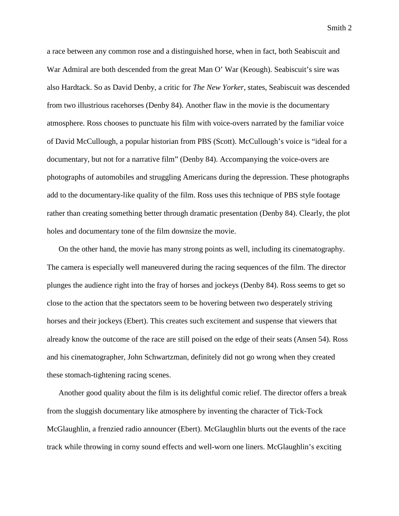Smith 2

a race between any common rose and a distinguished horse, when in fact, both Seabiscuit and War Admiral are both descended from the great Man O' War (Keough). Seabiscuit's sire was also Hardtack. So as David Denby, a critic for *The New Yorker*, states, Seabiscuit was descended from two illustrious racehorses (Denby 84). Another flaw in the movie is the documentary atmosphere. Ross chooses to punctuate his film with voice-overs narrated by the familiar voice of David McCullough, a popular historian from PBS (Scott). McCullough's voice is "ideal for a documentary, but not for a narrative film" (Denby 84). Accompanying the voice-overs are photographs of automobiles and struggling Americans during the depression. These photographs add to the documentary-like quality of the film. Ross uses this technique of PBS style footage rather than creating something better through dramatic presentation (Denby 84). Clearly, the plot holes and documentary tone of the film downsize the movie.

On the other hand, the movie has many strong points as well, including its cinematography. The camera is especially well maneuvered during the racing sequences of the film. The director plunges the audience right into the fray of horses and jockeys (Denby 84). Ross seems to get so close to the action that the spectators seem to be hovering between two desperately striving horses and their jockeys (Ebert). This creates such excitement and suspense that viewers that already know the outcome of the race are still poised on the edge of their seats (Ansen 54). Ross and his cinematographer, John Schwartzman, definitely did not go wrong when they created these stomach-tightening racing scenes.

Another good quality about the film is its delightful comic relief. The director offers a break from the sluggish documentary like atmosphere by inventing the character of Tick-Tock McGlaughlin, a frenzied radio announcer (Ebert). McGlaughlin blurts out the events of the race track while throwing in corny sound effects and well-worn one liners. McGlaughlin's exciting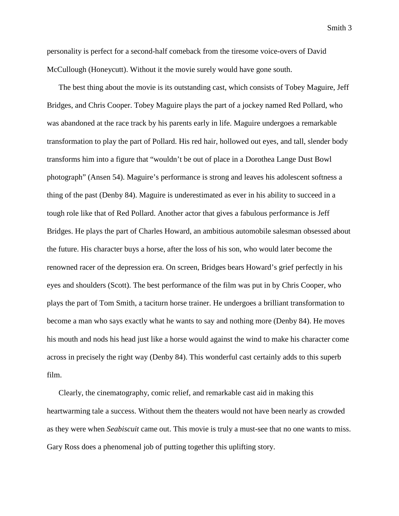Smith 3

personality is perfect for a second-half comeback from the tiresome voice-overs of David McCullough (Honeycutt). Without it the movie surely would have gone south.

The best thing about the movie is its outstanding cast, which consists of Tobey Maguire, Jeff Bridges, and Chris Cooper. Tobey Maguire plays the part of a jockey named Red Pollard, who was abandoned at the race track by his parents early in life. Maguire undergoes a remarkable transformation to play the part of Pollard. His red hair, hollowed out eyes, and tall, slender body transforms him into a figure that "wouldn't be out of place in a Dorothea Lange Dust Bowl photograph" (Ansen 54). Maguire's performance is strong and leaves his adolescent softness a thing of the past (Denby 84). Maguire is underestimated as ever in his ability to succeed in a tough role like that of Red Pollard. Another actor that gives a fabulous performance is Jeff Bridges. He plays the part of Charles Howard, an ambitious automobile salesman obsessed about the future. His character buys a horse, after the loss of his son, who would later become the renowned racer of the depression era. On screen, Bridges bears Howard's grief perfectly in his eyes and shoulders (Scott). The best performance of the film was put in by Chris Cooper, who plays the part of Tom Smith, a taciturn horse trainer. He undergoes a brilliant transformation to become a man who says exactly what he wants to say and nothing more (Denby 84). He moves his mouth and nods his head just like a horse would against the wind to make his character come across in precisely the right way (Denby 84). This wonderful cast certainly adds to this superb film.

Clearly, the cinematography, comic relief, and remarkable cast aid in making this heartwarming tale a success. Without them the theaters would not have been nearly as crowded as they were when *Seabiscuit* came out. This movie is truly a must-see that no one wants to miss. Gary Ross does a phenomenal job of putting together this uplifting story.